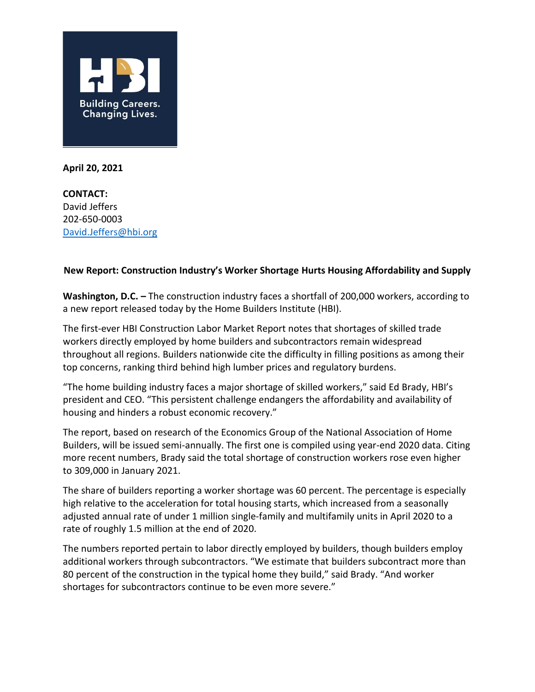

**April 20, 2021**

**CONTACT:** David Jeffers 202-650-0003 [David.Jeffers@hbi.org](mailto:David.Jeffers@hbi.org)

## **New Report: Construction Industry's Worker Shortage Hurts Housing Affordability and Supply**

**Washington, D.C. –** The construction industry faces a shortfall of 200,000 workers, according to a new report released today by the Home Builders Institute (HBI).

The first-ever HBI Construction Labor Market Report notes that shortages of skilled trade workers directly employed by home builders and subcontractors remain widespread throughout all regions. Builders nationwide cite the difficulty in filling positions as among their top concerns, ranking third behind high lumber prices and regulatory burdens.

"The home building industry faces a major shortage of skilled workers," said Ed Brady, HBI's president and CEO. "This persistent challenge endangers the affordability and availability of housing and hinders a robust economic recovery."

The report, based on research of the Economics Group of the National Association of Home Builders, will be issued semi-annually. The first one is compiled using year-end 2020 data. Citing more recent numbers, Brady said the total shortage of construction workers rose even higher to 309,000 in January 2021.

The share of builders reporting a worker shortage was 60 percent. The percentage is especially high relative to the acceleration for total housing starts, which increased from a seasonally adjusted annual rate of under 1 million single-family and multifamily units in April 2020 to a rate of roughly 1.5 million at the end of 2020.

The numbers reported pertain to labor directly employed by builders, though builders employ additional workers through subcontractors. "We estimate that builders subcontract more than 80 percent of the construction in the typical home they build," said Brady. "And worker shortages for subcontractors continue to be even more severe."